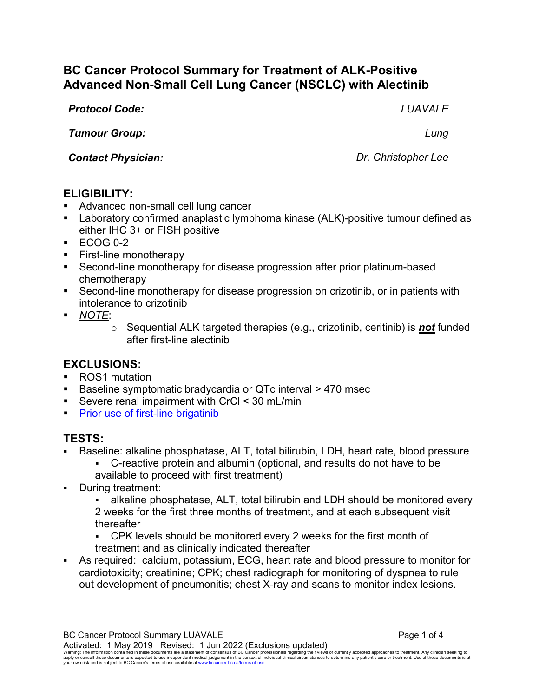# **BC Cancer Protocol Summary for Treatment of ALK-Positive Advanced Non-Small Cell Lung Cancer (NSCLC) with Alectinib**

*Protocol Code: LUAVALE*

*Tumour Group: Lung*

*Contact Physician: Dr. Christopher Lee*

### **ELIGIBILITY:**

- Advanced non-small cell lung cancer
- Laboratory confirmed anaplastic lymphoma kinase (ALK)-positive tumour defined as either IHC 3+ or FISH positive
- $\textdegree$  ECOG 0-2
- **First-line monotherapy**
- Second-line monotherapy for disease progression after prior platinum-based chemotherapy
- Second-line monotherapy for disease progression on crizotinib, or in patients with intolerance to crizotinib
- *NOTE*:
	- o Sequential ALK targeted therapies (e.g., crizotinib, ceritinib) is *not* funded after first-line alectinib

# **EXCLUSIONS:**

- ROS1 mutation
- Baseline symptomatic bradycardia or QTc interval > 470 msec
- Severe renal impairment with CrCl < 30 mL/min
- **Prior use of first-line brigatinib**

#### **TESTS:**

- Baseline: alkaline phosphatase, ALT, total bilirubin, LDH, heart rate, blood pressure
	- C-reactive protein and albumin (optional, and results do not have to be available to proceed with first treatment)
- During treatment:
	- alkaline phosphatase, ALT, total bilirubin and LDH should be monitored every 2 weeks for the first three months of treatment, and at each subsequent visit thereafter
	- CPK levels should be monitored every 2 weeks for the first month of treatment and as clinically indicated thereafter
- As required: calcium, potassium, ECG, heart rate and blood pressure to monitor for cardiotoxicity; creatinine; CPK; chest radiograph for monitoring of dyspnea to rule out development of pneumonitis; chest X-ray and scans to monitor index lesions.

Warning: The information contained in these documents are a statement of consensus of BC Cancer professionals regarding their views of currently accepted approaches to treatment. Any clinician seeking to<br>apply or consult t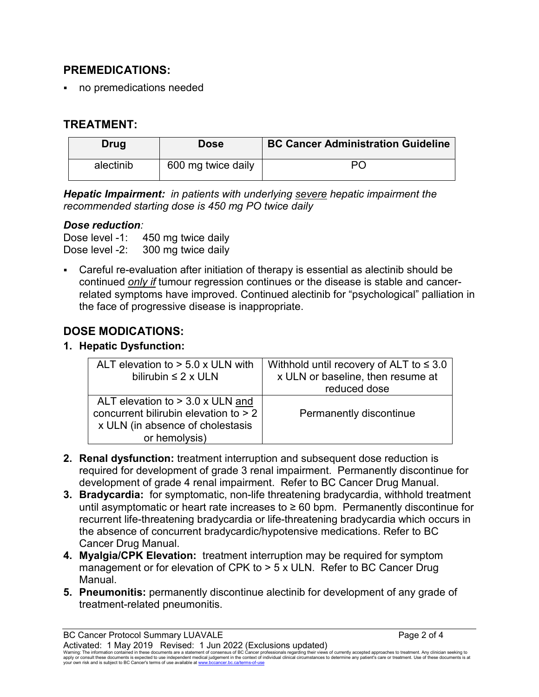## **PREMEDICATIONS:**

no premedications needed

# **TREATMENT:**

| <b>Drug</b> | <b>Dose</b>        | <b>BC Cancer Administration Guideline</b> |
|-------------|--------------------|-------------------------------------------|
| alectinib   | 600 mg twice daily | Рſ                                        |

*Hepatic Impairment: in patients with underlying severe hepatic impairment the recommended starting dose is 450 mg PO twice daily*

#### *Dose reduction:*

Dose level -1: 450 mg twice daily Dose level -2: 300 mg twice daily

 Careful re-evaluation after initiation of therapy is essential as alectinib should be continued *only if* tumour regression continues or the disease is stable and cancerrelated symptoms have improved. Continued alectinib for "psychological" palliation in the face of progressive disease is inappropriate.

# **DOSE MODICATIONS:**

#### **1. Hepatic Dysfunction:**

| ALT elevation to $> 5.0$ x ULN with     | Withhold until recovery of ALT to $\leq 3.0$ |
|-----------------------------------------|----------------------------------------------|
| bilirubin $\leq 2 \times \text{ULN}$    | x ULN or baseline, then resume at            |
|                                         | reduced dose                                 |
| ALT elevation to $>$ 3.0 x ULN and      |                                              |
| concurrent bilirubin elevation to $> 2$ | Permanently discontinue                      |
| x ULN (in absence of cholestasis        |                                              |
| or hemolysis)                           |                                              |

- **2. Renal dysfunction:** treatment interruption and subsequent dose reduction is required for development of grade 3 renal impairment. Permanently discontinue for development of grade 4 renal impairment. Refer to BC Cancer Drug Manual.
- **3. Bradycardia:** for symptomatic, non-life threatening bradycardia, withhold treatment until asymptomatic or heart rate increases to  $\geq 60$  bpm. Permanently discontinue for recurrent life-threatening bradycardia or life-threatening bradycardia which occurs in the absence of concurrent bradycardic/hypotensive medications. Refer to BC Cancer Drug Manual.
- **4. Myalgia/CPK Elevation:** treatment interruption may be required for symptom management or for elevation of CPK to > 5 x ULN. Refer to BC Cancer Drug Manual.
- **5. Pneumonitis:** permanently discontinue alectinib for development of any grade of treatment-related pneumonitis.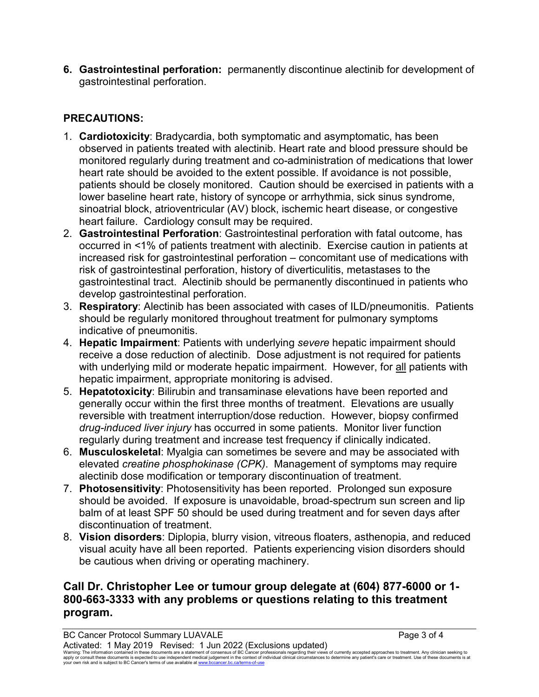**6. Gastrointestinal perforation:** permanently discontinue alectinib for development of gastrointestinal perforation.

# **PRECAUTIONS:**

- 1. **Cardiotoxicity**: Bradycardia, both symptomatic and asymptomatic, has been observed in patients treated with alectinib. Heart rate and blood pressure should be monitored regularly during treatment and co-administration of medications that lower heart rate should be avoided to the extent possible. If avoidance is not possible, patients should be closely monitored. Caution should be exercised in patients with a lower baseline heart rate, history of syncope or arrhythmia, sick sinus syndrome, sinoatrial block, atrioventricular (AV) block, ischemic heart disease, or congestive heart failure. Cardiology consult may be required.
- 2. **Gastrointestinal Perforation**: Gastrointestinal perforation with fatal outcome, has occurred in <1% of patients treatment with alectinib. Exercise caution in patients at increased risk for gastrointestinal perforation – concomitant use of medications with risk of gastrointestinal perforation, history of diverticulitis, metastases to the gastrointestinal tract. Alectinib should be permanently discontinued in patients who develop gastrointestinal perforation.
- 3. **Respiratory**: Alectinib has been associated with cases of ILD/pneumonitis. Patients should be regularly monitored throughout treatment for pulmonary symptoms indicative of pneumonitis.
- 4. **Hepatic Impairment**: Patients with underlying *severe* hepatic impairment should receive a dose reduction of alectinib. Dose adjustment is not required for patients with underlying mild or moderate hepatic impairment. However, for all patients with hepatic impairment, appropriate monitoring is advised.
- 5. **Hepatotoxicity**: Bilirubin and transaminase elevations have been reported and generally occur within the first three months of treatment. Elevations are usually reversible with treatment interruption/dose reduction. However, biopsy confirmed *drug-induced liver injury* has occurred in some patients. Monitor liver function regularly during treatment and increase test frequency if clinically indicated.
- 6. **Musculoskeletal**: Myalgia can sometimes be severe and may be associated with elevated *creatine phosphokinase (CPK)*. Management of symptoms may require alectinib dose modification or temporary discontinuation of treatment.
- 7. **Photosensitivity**: Photosensitivity has been reported. Prolonged sun exposure should be avoided. If exposure is unavoidable, broad-spectrum sun screen and lip balm of at least SPF 50 should be used during treatment and for seven days after discontinuation of treatment.
- 8. **Vision disorders**: Diplopia, blurry vision, vitreous floaters, asthenopia, and reduced visual acuity have all been reported. Patients experiencing vision disorders should be cautious when driving or operating machinery.

# **Call Dr. Christopher Lee or tumour group delegate at (604) 877-6000 or 1- 800-663-3333 with any problems or questions relating to this treatment program.**